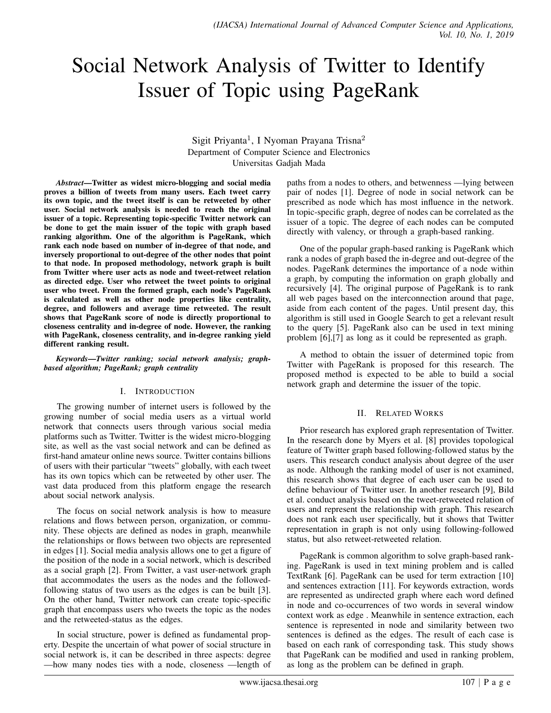# Social Network Analysis of Twitter to Identify Issuer of Topic using PageRank

Sigit Priyanta<sup>1</sup>, I Nyoman Prayana Trisna<sup>2</sup> Department of Computer Science and Electronics Universitas Gadjah Mada

*Abstract*—Twitter as widest micro-blogging and social media proves a billion of tweets from many users. Each tweet carry its own topic, and the tweet itself is can be retweeted by other user. Social network analysis is needed to reach the original issuer of a topic. Representing topic-specific Twitter network can be done to get the main issuer of the topic with graph based ranking algorithm. One of the algorithm is PageRank, which rank each node based on number of in-degree of that node, and inversely proportional to out-degree of the other nodes that point to that node. In proposed methodology, network graph is built from Twitter where user acts as node and tweet-retweet relation as directed edge. User who retweet the tweet points to original user who tweet. From the formed graph, each node's PageRank is calculated as well as other node properties like centrality, degree, and followers and average time retweeted. The result shows that PageRank score of node is directly proportional to closeness centrality and in-degree of node. However, the ranking with PageRank, closeness centrality, and in-degree ranking yield different ranking result.

*Keywords*—*Twitter ranking; social network analysis; graphbased algorithm; PageRank; graph centrality*

# I. INTRODUCTION

The growing number of internet users is followed by the growing number of social media users as a virtual world network that connects users through various social media platforms such as Twitter. Twitter is the widest micro-blogging site, as well as the vast social network and can be defined as first-hand amateur online news source. Twitter contains billions of users with their particular "tweets" globally, with each tweet has its own topics which can be retweeted by other user. The vast data produced from this platform engage the research about social network analysis.

The focus on social network analysis is how to measure relations and flows between person, organization, or community. These objects are defined as nodes in graph, meanwhile the relationships or flows between two objects are represented in edges [1]. Social media analysis allows one to get a figure of the position of the node in a social network, which is described as a social graph [2]. From Twitter, a vast user-network graph that accommodates the users as the nodes and the followedfollowing status of two users as the edges is can be built [3]. On the other hand, Twitter network can create topic-specific graph that encompass users who tweets the topic as the nodes and the retweeted-status as the edges.

In social structure, power is defined as fundamental property. Despite the uncertain of what power of social structure in social network is, it can be described in three aspects: degree —how many nodes ties with a node, closeness —length of paths from a nodes to others, and betwenness —lying between pair of nodes [1]. Degree of node in social network can be prescribed as node which has most influence in the network. In topic-specific graph, degree of nodes can be correlated as the issuer of a topic. The degree of each nodes can be computed directly with valency, or through a graph-based ranking.

One of the popular graph-based ranking is PageRank which rank a nodes of graph based the in-degree and out-degree of the nodes. PageRank determines the importance of a node within a graph, by computing the information on graph globally and recursively [4]. The original purpose of PageRank is to rank all web pages based on the interconnection around that page, aside from each content of the pages. Until present day, this algorithm is still used in Google Search to get a relevant result to the query [5]. PageRank also can be used in text mining problem [6],[7] as long as it could be represented as graph.

A method to obtain the issuer of determined topic from Twitter with PageRank is proposed for this research. The proposed method is expected to be able to build a social network graph and determine the issuer of the topic.

# II. RELATED WORKS

Prior research has explored graph representation of Twitter. In the research done by Myers et al. [8] provides topological feature of Twitter graph based following-followed status by the users. This research conduct analysis about degree of the user as node. Although the ranking model of user is not examined, this research shows that degree of each user can be used to define behaviour of Twitter user. In another research [9], Bild et al. conduct analysis based on the tweet-retweeted relation of users and represent the relationship with graph. This research does not rank each user specifically, but it shows that Twitter representation in graph is not only using following-followed status, but also retweet-retweeted relation.

PageRank is common algorithm to solve graph-based ranking. PageRank is used in text mining problem and is called TextRank [6]. PageRank can be used for term extraction [10] and sentences extraction [11]. For keywords extraction, words are represented as undirected graph where each word defined in node and co-occurrences of two words in several window context work as edge . Meanwhile in sentence extraction, each sentence is represented in node and similarity between two sentences is defined as the edges. The result of each case is based on each rank of corresponding task. This study shows that PageRank can be modified and used in ranking problem, as long as the problem can be defined in graph.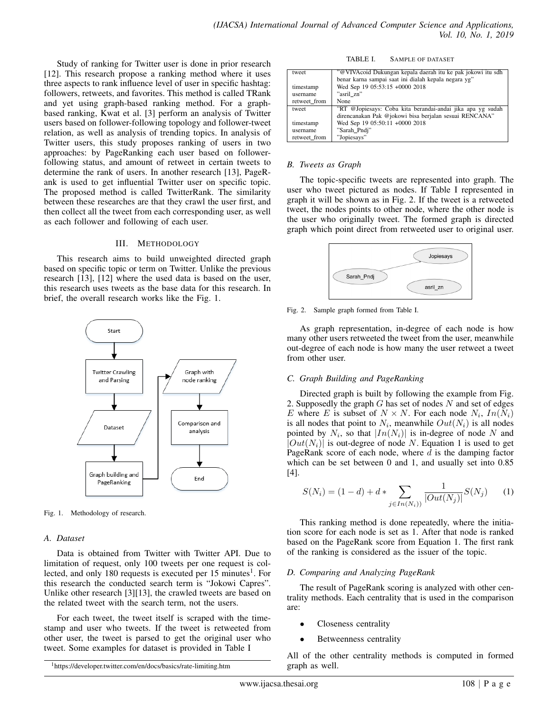Study of ranking for Twitter user is done in prior research [12]. This research propose a ranking method where it uses three aspects to rank influence level of user in specific hashtag: followers, retweets, and favorites. This method is called TRank and yet using graph-based ranking method. For a graphbased ranking, Kwat et al. [3] perform an analysis of Twitter users based on follower-following topology and follower-tweet relation, as well as analysis of trending topics. In analysis of Twitter users, this study proposes ranking of users in two approaches: by PageRanking each user based on followerfollowing status, and amount of retweet in certain tweets to determine the rank of users. In another research [13], PageRank is used to get influential Twitter user on specific topic. The proposed method is called TwitterRank. The similarity between these researches are that they crawl the user first, and then collect all the tweet from each corresponding user, as well as each follower and following of each user.

### III. METHODOLOGY

This research aims to build unweighted directed graph based on specific topic or term on Twitter. Unlike the previous research [13], [12] where the used data is based on the user, this research uses tweets as the base data for this research. In brief, the overall research works like the Fig. 1.



Fig. 1. Methodology of research.

## *A. Dataset*

Data is obtained from Twitter with Twitter API. Due to limitation of request, only 100 tweets per one request is collected, and only 180 requests is executed per 15 minutes<sup>1</sup>. For this research the conducted search term is "Jokowi Capres". Unlike other research [3][13], the crawled tweets are based on the related tweet with the search term, not the users.

For each tweet, the tweet itself is scraped with the timestamp and user who tweets. If the tweet is retweeted from other user, the tweet is parsed to get the original user who tweet. Some examples for dataset is provided in Table I

TABLE I. SAMPLE OF DATASET

| tweet        | "@VIVAcoid Dukungan kepala daerah itu ke pak jokowi itu sdh |
|--------------|-------------------------------------------------------------|
|              | benar karna sampai saat ini dialah kepala negara yg"        |
| timestamp    | Wed Sep 19 05:53:15 +0000 2018                              |
| username     | "asril zn"                                                  |
| retweet from | None                                                        |
| tweet        | "RT @Jopiesays: Coba kita berandai-andai jika apa yg sudah  |
|              | direncanakan Pak @jokowi bisa berjalan sesuai RENCANA"      |
| timestamp    | Wed Sep 19 05:50:11 +0000 2018                              |
| username     | "Sarah Pndi"                                                |
| retweet from | "Jopiesays"                                                 |

## *B. Tweets as Graph*

The topic-specific tweets are represented into graph. The user who tweet pictured as nodes. If Table I represented in graph it will be shown as in Fig. 2. If the tweet is a retweeted tweet, the nodes points to other node, where the other node is the user who originally tweet. The formed graph is directed graph which point direct from retweeted user to original user.



Fig. 2. Sample graph formed from Table I.

As graph representation, in-degree of each node is how many other users retweeted the tweet from the user, meanwhile out-degree of each node is how many the user retweet a tweet from other user.

#### *C. Graph Building and PageRanking*

Directed graph is built by following the example from Fig. 2. Supposedly the graph  $G$  has set of nodes  $N$  and set of edges E where E is subset of  $N \times N$ . For each node  $N_i$ ,  $In(N_i)$ is all nodes that point to  $N_i$ , meanwhile  $Out(N_i)$  is all nodes pointed by  $N_i$ , so that  $|In(N_i)|$  is in-degree of node N and  $|Out(N_i)|$  is out-degree of node N. Equation 1 is used to get PageRank score of each node, where  $d$  is the damping factor which can be set between 0 and 1, and usually set into  $0.85$ [4].

$$
S(N_i) = (1 - d) + d * \sum_{j \in In(N_i))} \frac{1}{|Out(N_j)|} S(N_j)
$$
 (1)

This ranking method is done repeatedly, where the initiation score for each node is set as 1. After that node is ranked based on the PageRank score from Equation 1. The first rank of the ranking is considered as the issuer of the topic.

#### *D. Comparing and Analyzing PageRank*

The result of PageRank scoring is analyzed with other centrality methods. Each centrality that is used in the comparison are:

- Closeness centrality
- Betweenness centrality

All of the other centrality methods is computed in formed graph as well.

<sup>1</sup>https://developer.twitter.com/en/docs/basics/rate-limiting.htm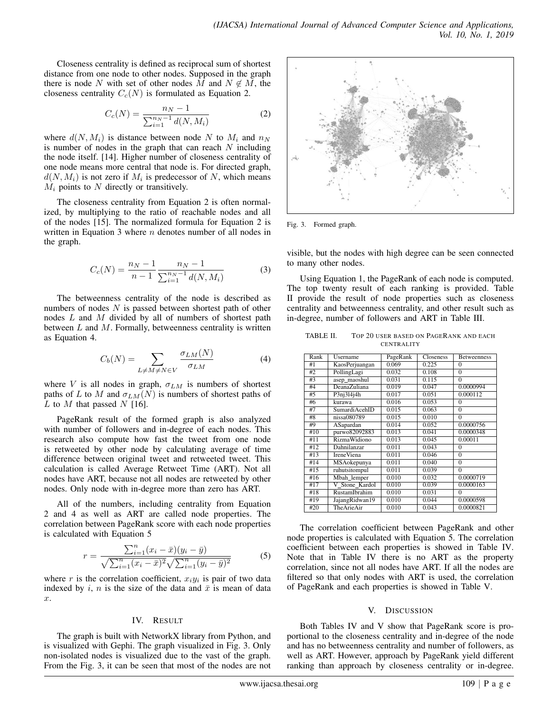Closeness centrality is defined as reciprocal sum of shortest distance from one node to other nodes. Supposed in the graph there is node N with set of other nodes M and  $N \notin M$ , the closeness centrality  $C_c(N)$  is formulated as Equation 2.

$$
C_c(N) = \frac{n_N - 1}{\sum_{i=1}^{n_N - 1} d(N, M_i)}
$$
 (2)

where  $d(N, M_i)$  is distance between node N to  $M_i$  and  $n_N$ is number of nodes in the graph that can reach  $N$  including the node itself. [14]. Higher number of closeness centrality of one node means more central that node is. For directed graph,  $d(N, M_i)$  is not zero if  $M_i$  is predecessor of N, which means  $M_i$  points to N directly or transitively.

The closeness centrality from Equation 2 is often normalized, by multiplying to the ratio of reachable nodes and all of the nodes [15]. The normalized formula for Equation 2 is written in Equation 3 where  $n$  denotes number of all nodes in the graph.

$$
C_c(N) = \frac{n_N - 1}{n - 1} \frac{n_N - 1}{\sum_{i=1}^{n_N - 1} d(N, M_i)}
$$
(3)

The betweenness centrality of the node is described as numbers of nodes  $N$  is passed between shortest path of other nodes L and M divided by all of numbers of shortest path between  $L$  and  $M$ . Formally, betweenness centrality is written as Equation 4.

$$
C_b(N) = \sum_{L \neq M \neq N \in V} \frac{\sigma_{LM}(N)}{\sigma_{LM}} \tag{4}
$$

where V is all nodes in graph,  $\sigma_{LM}$  is numbers of shortest paths of L to M and  $\sigma_{LM}(N)$  is numbers of shortest paths of L to M that passed N [16].

PageRank result of the formed graph is also analyzed with number of followers and in-degree of each nodes. This research also compute how fast the tweet from one node is retweeted by other node by calculating average of time difference between original tweet and retweeted tweet. This calculation is called Average Retweet Time (ART). Not all nodes have ART, because not all nodes are retweeted by other nodes. Only node with in-degree more than zero has ART.

All of the numbers, including centrality from Equation 2 and 4 as well as ART are called node properties. The correlation between PageRank score with each node properties is calculated with Equation 5

$$
r = \frac{\sum_{i=1}^{n} (x_i - \bar{x})(y_i - \bar{y})}{\sqrt{\sum_{i=1}^{n} (x_i - \bar{x})^2} \sqrt{\sum_{i=1}^{n} (y_i - \bar{y})^2}}
$$
(5)

where r is the correlation coefficient,  $x_i y_i$  is pair of two data indexed by i, n is the size of the data and  $\bar{x}$  is mean of data x.

# IV. RESULT

The graph is built with NetworkX library from Python, and is visualized with Gephi. The graph visualized in Fig. 3. Only non-isolated nodes is visualized due to the vast of the graph. From the Fig. 3, it can be seen that most of the nodes are not



Fig. 3. Formed graph.

visible, but the nodes with high degree can be seen connected to many other nodes.

Using Equation 1, the PageRank of each node is computed. The top twenty result of each ranking is provided. Table II provide the result of node properties such as closeness centrality and betweenness centrality, and other result such as in-degree, number of followers and ART in Table III.

| TABLE II. | TOP 20 USER BASED ON PAGERANK AND EACH |
|-----------|----------------------------------------|
|           | <b>CENTRALITY</b>                      |

| Rank | Username             | PageRank | Closeness | <b>Betweenness</b> |
|------|----------------------|----------|-----------|--------------------|
| #1   | KaosPerjuangan       | 0.069    | 0.225     | $\theta$           |
| #2   | PollingLagi          | 0.032    | 0.108     | $\overline{0}$     |
| #3   | asep_maoshul         | 0.031    | 0.115     | $\theta$           |
| #4   | DeanaZuliana         | 0.019    | 0.047     | 0.0000994          |
| #5   | P3nj314j4h           | 0.017    | 0.051     | 0.000112           |
| #6   | kurawa               | 0.016    | 0.053     | $\theta$           |
| #7   | SumardiAcehID        | 0.015    | 0.063     | $\theta$           |
| #8   | nissa080789          | 0.015    | 0.010     | $\theta$           |
| #9   | ASapardan            | 0.014    | 0.052     | 0.0000756          |
| #10  | purwo82092883        | 0.013    | 0.041     | 0.0000348          |
| #11  | <b>RizmaWidiono</b>  | 0.013    | 0.045     | 0.00011            |
| #12  | Dahnilanzar          | 0.011    | 0.043     | $\theta$           |
| #13  | <b>IreneViena</b>    | 0.011    | 0.046     | $\theta$           |
| #14  | <b>MSAokepunya</b>   | 0.011    | 0.040     | $\overline{0}$     |
| #15  | ruhutsitompul        | 0.011    | 0.039     | $\theta$           |
| #16  | Mbah lemper          | 0.010    | 0.032     | 0.0000719          |
| #17  | V Stone Kardol       | 0.010    | 0.039     | 0.0000163          |
| #18  | <b>RustamIbrahim</b> | 0.010    | 0.031     | $\theta$           |
| #19  | JajangRidwan19       | 0.010    | 0.044     | 0.0000598          |
| #20  | TheArieAir           | 0.010    | 0.043     | 0.0000821          |

The correlation coefficient between PageRank and other node properties is calculated with Equation 5. The correlation coefficient between each properties is showed in Table IV. Note that in Table IV there is no ART as the property correlation, since not all nodes have ART. If all the nodes are filtered so that only nodes with ART is used, the correlation of PageRank and each properties is showed in Table V.

# V. DISCUSSION

Both Tables IV and V show that PageRank score is proportional to the closeness centrality and in-degree of the node and has no betweenness centrality and number of followers, as well as ART. However, approach by PageRank yield different ranking than approach by closeness centrality or in-degree.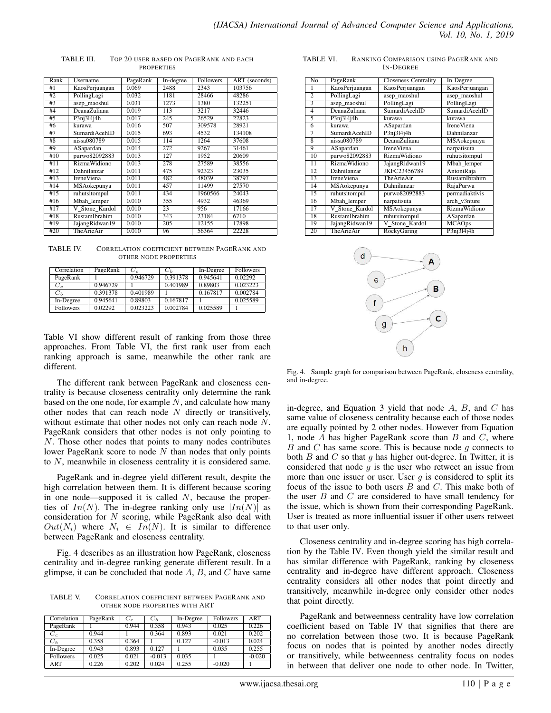| Rank | Username             | PageRank | In-degree | Followers | ART (seconds) |
|------|----------------------|----------|-----------|-----------|---------------|
| #1   | KaosPerjuangan       | 0.069    | 2488      | 2343      | 103756        |
| #2   | PollingLagi          | 0.032    | 1181      | 28466     | 48286         |
| #3   | asep_maoshul         | 0.031    | 1273      | 1380      | 132251        |
| #4   | DeanaZuliana         | 0.019    | 113       | 3217      | 32446         |
| #5   | P3ni3l4j4h           | 0.017    | 245       | 26529     | 22823         |
| #6   | kurawa               | 0.016    | 507       | 309578    | 28921         |
| #7   | SumardiAcehID        | 0.015    | 693       | 4532      | 134108        |
| #8   | nissa080789          | 0.015    | 114       | 1264      | 37608         |
| #9   | ASapardan            | 0.014    | 272       | 9267      | 31461         |
| #10  | purwo82092883        | 0.013    | 127       | 1952      | 20609         |
| #11  | <b>RizmaWidiono</b>  | 0.013    | 278       | 27589     | 38556         |
| #12  | Dahnilanzar          | 0.011    | 475       | 92323     | 23035         |
| #13  | <b>IreneViena</b>    | 0.011    | 482       | 48039     | 38797         |
| #14  | <b>MSAokepunya</b>   | 0.011    | 457       | 11499     | 27570         |
| #15  | ruhutsitompul        | 0.011    | 434       | 1960566   | 24043         |
| #16  | Mbah lemper          | 0.010    | 355       | 4932      | 46369         |
| #17  | V Stone Kardol       | 0.010    | 23        | 956       | 17166         |
| #18  | <b>RustamIbrahim</b> | 0.010    | 343       | 23184     | 6710          |
| #19  | JajangRidwan19       | 0.010    | 205       | 12155     | 17898         |
| #20  | TheArieAir           | 0.010    | 96        | 56364     | 22228         |

TABLE III. TOP 20 USER BASED ON PAGERANK AND EACH **PROPERTIES** 

TABLE IV. CORRELATION COEFFICIENT BETWEEN PAGERANK AND OTHER NODE PROPERTIES

| Correlation      | PageRank | $C_c$    | $C_h$    | In-Degree | <b>Followers</b> |
|------------------|----------|----------|----------|-----------|------------------|
| PageRank         |          | 0.946729 | 0.391378 | 0.945641  | 0.02292          |
| $C_c$            | 0.946729 |          | 0.401989 | 0.89803   | 0.023223         |
| $C_h$            | 0.391378 | 0.401989 |          | 0.167817  | 0.002784         |
| In-Degree        | 0.945641 | 0.89803  | 0.167817 |           | 0.025589         |
| <b>Followers</b> | 0.02292  | 0.023223 | 0.002784 | 0.025589  |                  |

Table VI show different result of ranking from those three approaches. From Table VI, the first rank user from each ranking approach is same, meanwhile the other rank are different.

The different rank between PageRank and closeness centrality is because closeness centrality only determine the rank based on the one node, for example  $N$ , and calculate how many other nodes that can reach node  $N$  directly or transitively, without estimate that other nodes not only can reach node N. PageRank considers that other nodes is not only pointing to N. Those other nodes that points to many nodes contributes lower PageRank score to node  $N$  than nodes that only points to N, meanwhile in closeness centrality it is considered same.

PageRank and in-degree yield different result, despite the high correlation between them. It is different because scoring in one node—supposed it is called  $N$ , because the properties of  $In(N)$ . The in-degree ranking only use  $|In(N)|$  as consideration for  $N$  scoring, while PageRank also deal with  $Out(N_i)$  where  $N_i \in In(N)$ . It is similar to difference between PageRank and closeness centrality.

Fig. 4 describes as an illustration how PageRank, closeness centrality and in-degree ranking generate different result. In a glimpse, it can be concluded that node  $A$ ,  $B$ , and  $C$  have same

TABLE V. CORRELATION COEFFICIENT BETWEEN PAGERANK AND OTHER NODE PROPERTIES WITH ART

| Correlation                    | PageRank | $C_c$ | $C_h$    | In-Degree | <b>Followers</b> | <b>ART</b> |
|--------------------------------|----------|-------|----------|-----------|------------------|------------|
| PageRank                       |          | 0.944 | 0.358    | 0.943     | 0.025            | 0.226      |
| $\overline{C}_c$               | 0.944    |       | 0.364    | 0.893     | 0.021            | 0.202      |
| $C_h$                          | 0.358    | 0.364 |          | 0.127     | $-0.013$         | 0.024      |
| $\overline{\text{In}}$ -Degree | 0.943    | 0.893 | 0.127    |           | 0.035            | 0.255      |
| Followers                      | 0.025    | 0.021 | $-0.013$ | 0.035     |                  | $-0.020$   |
| ART                            | 0.226    | 0.202 | 0.024    | 0.255     | $-0.020$         |            |

TABLE VI. RANKING COMPARISON USING PAGERANK AND IN-DEGREE

| No.             | PageRank             | <b>Closeness Centrality</b> | In Degree         |
|-----------------|----------------------|-----------------------------|-------------------|
| 1               | KaosPerjuangan       | KaosPerjuangan              | KaosPerjuangan    |
| $\overline{2}$  | PollingLagi          | asep_maoshul                | asep_maoshul      |
| 3               | asep_maoshul         | PollingLagi                 | PollingLagi       |
| $\overline{4}$  | DeanaZuliana         | SumardiAcehID               | SumardiAcehID     |
| 5               | P3nj314j4h           | kurawa                      | kurawa            |
| 6               | kurawa               | ASapardan                   | <b>IreneViena</b> |
| 7               | <b>SumardiAcehID</b> | P3nj314j4h                  | Dahnilanzar       |
| $\overline{8}$  | nissa080789          | <b>DeanaZuliana</b>         | MSAokepunya       |
| 9               | ASapardan            | <b>IreneViena</b>           | narpatisuta       |
| 10              | purwo82092883        | RizmaWidiono                | ruhutsitompul     |
| $\overline{11}$ | <b>RizmaWidiono</b>  | JajangRidwan19              | Mbah_lemper       |
| 12              | Dahnilanzar          | JKFC23456789                | AntoniRaja        |
| 13              | <b>IreneViena</b>    | TheArieAir                  | RustamIbrahim     |
| 14              | MSAokepunya          | Dahnilanzar                 | RajaPurwa         |
| $\overline{15}$ | ruhutsitompul        | purwo82092883               | permadiaktivis    |
| 16              | Mbah lemper          | narpatisuta                 | arch v3nture      |
| 17              | V Stone Kardol       | MSAokepunya                 | RizmaWidiono      |
| 18              | <b>RustamIbrahim</b> | ruhutsitompul               | ASapardan         |
| 19              | JajangRidwan19       | V Stone Kardol              | <b>MCAOps</b>     |
| 20              | TheArieAir           | RockyGaring                 | P3nj314j4h        |



Fig. 4. Sample graph for comparison between PageRank, closeness centrality, and in-degree.

in-degree, and Equation 3 yield that node  $A$ ,  $B$ , and  $C$  has same value of closeness centrality because each of those nodes are equally pointed by 2 other nodes. However from Equation 1, node  $A$  has higher PageRank score than  $B$  and  $C$ , where  $B$  and  $C$  has same score. This is because node  $g$  connects to both  $B$  and  $C$  so that  $q$  has higher out-degree. In Twitter, it is considered that node  $q$  is the user who retweet an issue from more than one issuer or user. User  $q$  is considered to split its focus of the issue to both users  $B$  and  $C$ . This make both of the user  $B$  and  $C$  are considered to have small tendency for the issue, which is shown from their corresponding PageRank. User is treated as more influential issuer if other users retweet to that user only.

Closeness centrality and in-degree scoring has high correlation by the Table IV. Even though yield the similar result and has similar difference with PageRank, ranking by closeness centrality and in-degree have different approach. Closeness centrality considers all other nodes that point directly and transitively, meanwhile in-degree only consider other nodes that point directly.

PageRank and betweenness centrality have low correlation coefficient based on Table IV that signifies that there are no correlation between those two. It is because PageRank focus on nodes that is pointed by another nodes directly or transitively, while betweenness centrality focus on nodes in between that deliver one node to other node. In Twitter,